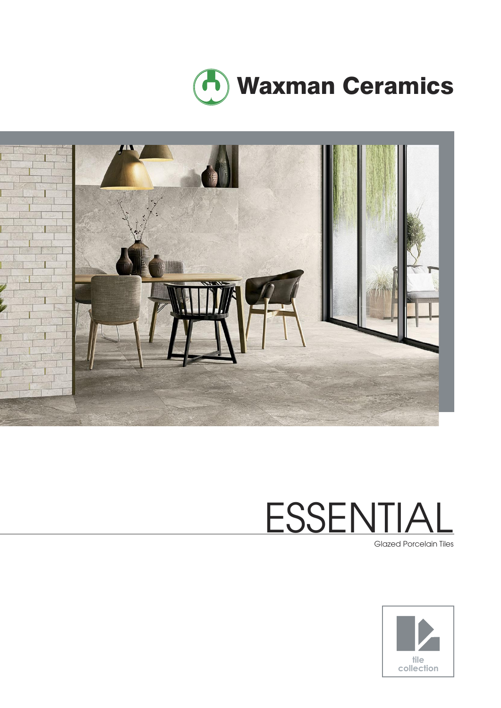



# **ESSENTIA**

Glazed Porcelain Tiles

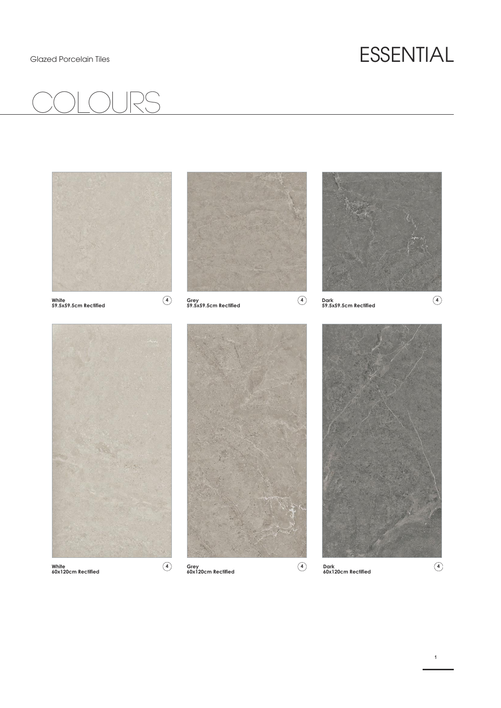### Glazed Porcelain Tiles **ESSENTIAL**





**White 60x120cm Rectified**

**Grey 60x120cm Rectified**

**Dark 60x120cm Rectified 4 4 4**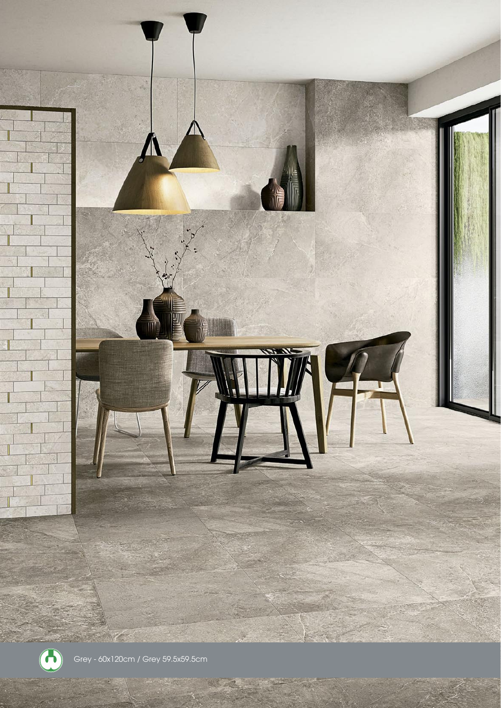

Grey - 60x120cm / Grey 59.5x59.5cm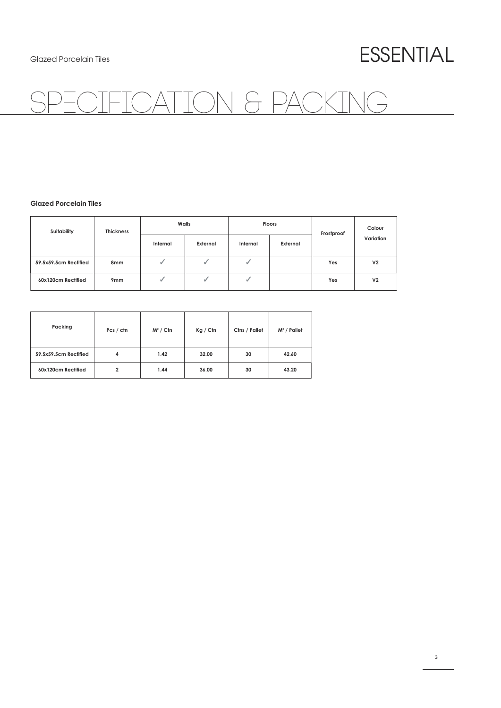### Glazed Porcelain Tiles **ESSENTIAL**

## ATION & PACKING

### **Glazed Porcelain Tiles**

| Suitability           | <b>Thickness</b> | Walls    |          | <b>Floors</b> |          | Frostproof | Colour         |
|-----------------------|------------------|----------|----------|---------------|----------|------------|----------------|
|                       |                  | Internal | External | Internal      | External |            | Variation      |
| 59.5x59.5cm Rectified | 8mm              |          |          |               |          | Yes        | V <sub>2</sub> |
| 60x120cm Rectified    | 9 <sub>mm</sub>  |          |          |               |          | Yes        | V <sub>2</sub> |

| Packing               | Pcs / ctn | $M^2 /$ Ctn | Kg / Cfn | Ctns / Pallet | $M^2$ / Pallet |
|-----------------------|-----------|-------------|----------|---------------|----------------|
| 59.5x59.5cm Rectified | 4         | 1.42        | 32.00    | 30            | 42.60          |
| 60x120cm Rectified    | 2         | 1.44        | 36.00    | 30            | 43.20          |